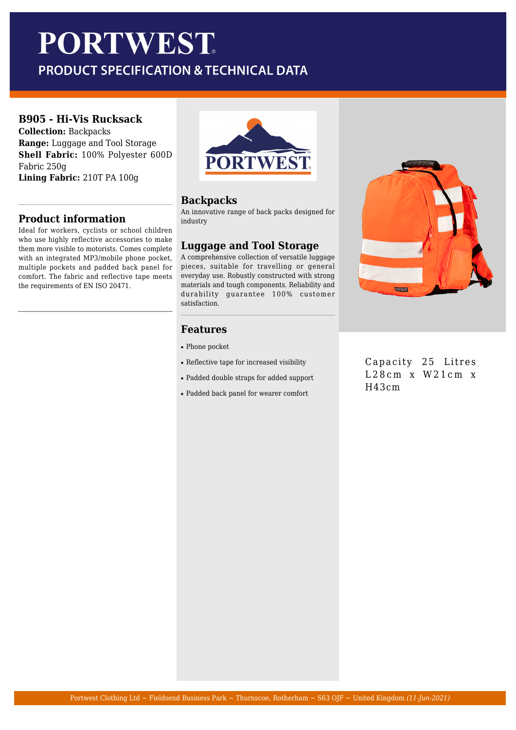# **PORTWEST**

**PRODUCT SPECIFICATION & TECHNICAL DATA** 

### **B905 - Hi-Vis Rucksack**

**Collection:** Backpacks **Range:** Luggage and Tool Storage **Shell Fabric:** 100% Polyester 600D Fabric 250g **Lining Fabric:** 210T PA 100g

## **Product information**

Ideal for workers, cyclists or school children who use highly reflective accessories to make them more visible to motorists. Comes complete with an integrated MP3/mobile phone pocket, multiple pockets and padded back panel for comfort. The fabric and reflective tape meets the requirements of EN ISO 20471.



#### **Backpacks**

An innovative range of back packs designed for industry

#### **Luggage and Tool Storage**

A comprehensive collection of versatile luggage pieces, suitable for travelling or general everyday use. Robustly constructed with strong materials and tough components. Reliability and durability guarantee 100% customer satisfaction.

#### **Features**

- Phone pocket
- Reflective tape for increased visibility
- Padded double straps for added support
- Padded back panel for wearer comfort



#### Capacity 25 Litres L28cm x W21cm x H43cm